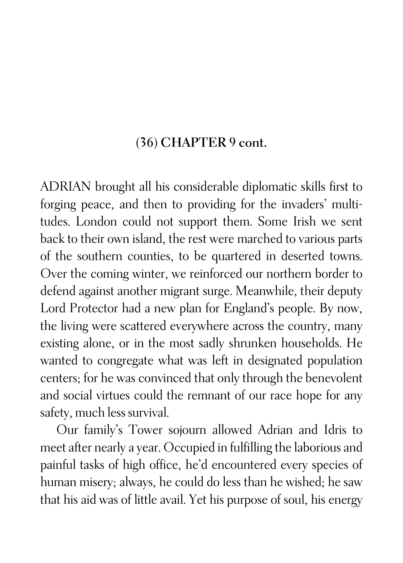## (36) CHAPTER 9 cont.

ADRIAN brought all his considerable diplomatic skills first to forging peace, and then to providing for the invaders' multitudes. London could not support them. Some Irish we sent back to their own island, the rest were marched to various parts of the southern counties, to be quartered in deserted towns. Over the coming winter, we reinforced our northern border to defend against another migrant surge. Meanwhile, their deputy Lord Protector had a new plan for England's people. By now, the living were scattered everywhere across the country, many existing alone, or in the most sadly shrunken households. He wanted to congregate what was left in designated population centers; for he was convinced that only through the benevolent and social virtues could the remnant of our race hope for any safety, much less survival.

Our family's Tower sojourn allowed Adrian and Idris to meet after nearly a year. Occupied in fulfilling the laborious and painful tasks of high office, he'd encountered every species of human misery; always, he could do less than he wished; he saw that his aid was of little avail. Yet his purpose of soul, his energy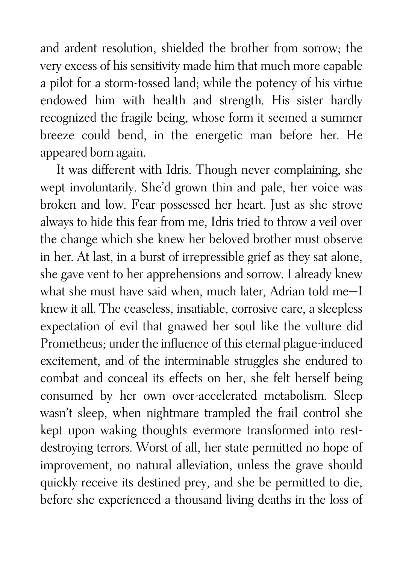and ardent resolution, shielded the brother from sorrow; the very excess of his sensitivity made him that much more capable a pilot for a storm-tossed land; while the potency of his virtue endowed him with health and strength. His sister hardly recognized the fragile being, whose form it seemed a summer breeze could bend, in the energetic man before her. He appeared born again.

It was different with Idris. Though never complaining, she wept involuntarily. She'd grown thin and pale, her voice was broken and low. Fear possessed her heart. Just as she strove always to hide this fear from me, Idris tried to throw a veil over the change which she knew her beloved brother must observe in her. At last, in a burst of irrepressible grief as they sat alone, she gave vent to her apprehensions and sorrow. I already knew what she must have said when, much later, Adrian told me—I knew it all. The ceaseless, insatiable, corrosive care, a sleepless expectation of evil that gnawed her soul like the vulture did Prometheus; under the influence of this eternal plague-induced excitement, and of the interminable struggles she endured to combat and conceal its effects on her, she felt herself being consumed by her own over-accelerated metabolism. Sleep wasn't sleep, when nightmare trampled the frail control she kept upon waking thoughts evermore transformed into restdestroying terrors. Worst of all, her state permitted no hope of improvement, no natural alleviation, unless the grave should quickly receive its destined prey, and she be permitted to die, before she experienced a thousand living deaths in the loss of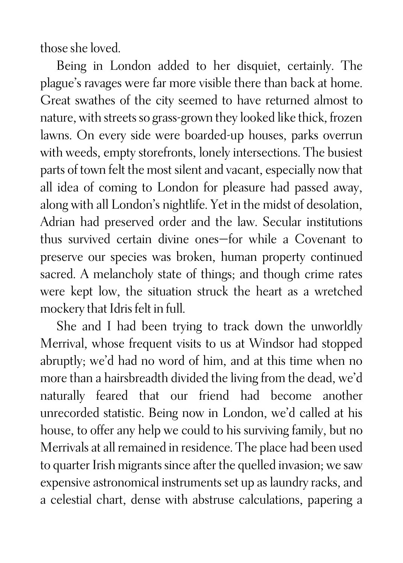those she loved.

Being in London added to her disquiet, certainly. The plague's ravages were far more visible there than back at home. Great swathes of the city seemed to have returned almost to nature, with streets so grass-grown they looked like thick, frozen lawns. On every side were boarded-up houses, parks overrun with weeds, empty storefronts, lonely intersections. The busiest parts of town felt the most silent and vacant, especially now that all idea of coming to London for pleasure had passed away, along with all London's nightlife. Yet in the midst of desolation, Adrian had preserved order and the law. Secular institutions thus survived certain divine ones—for while a Covenant to preserve our species was broken, human property continued sacred. A melancholy state of things; and though crime rates were kept low, the situation struck the heart as a wretched mockery that Idris felt in full.

She and I had been trying to track down the unworldly Merrival, whose frequent visits to us at Windsor had stopped abruptly; we'd had no word of him, and at this time when no more than a hairsbreadth divided the living from the dead, we'd naturally feared that our friend had become another unrecorded statistic. Being now in London, we'd called at his house, to offer any help we could to his surviving family, but no Merrivals at all remained in residence. The place had been used to quarter Irish migrants since after the quelled invasion; we saw expensive astronomical instruments set up as laundry racks, and a celestial chart, dense with abstruse calculations, papering a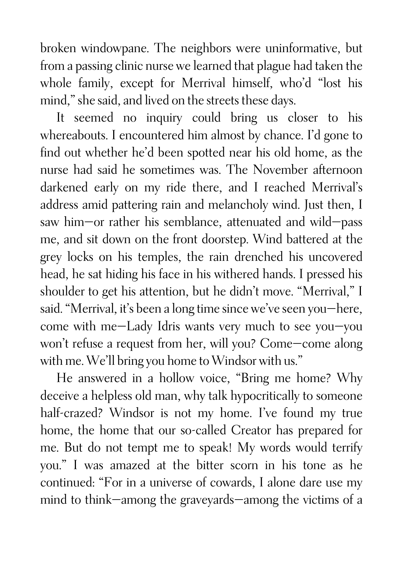broken windowpane. The neighbors were uninformative, but from a passing clinic nurse we learned that plague had taken the whole family, except for Merrival himself, who'd "lost his mind," she said, and lived on the streets these days.

It seemed no inquiry could bring us closer to his whereabouts. I encountered him almost by chance. I'd gone to find out whether he'd been spotted near his old home, as the nurse had said he sometimes was. The November afternoon darkened early on my ride there, and I reached Merrival's address amid pattering rain and melancholy wind. Just then, I saw him—or rather his semblance, attenuated and wild—pass me, and sit down on the front doorstep. Wind battered at the grey locks on his temples, the rain drenched his uncovered head, he sat hiding his face in his withered hands. I pressed his shoulder to get his attention, but he didn't move. "Merrival," I said. "Merrival, it's been a long time since we've seen you—here, come with me—Lady Idris wants very much to see you—you won't refuse a request from her, will you? Come—come along with me. We'll bring you home to Windsor with us."

He answered in a hollow voice, "Bring me home? Why deceive a helpless old man, why talk hypocritically to someone half-crazed? Windsor is not my home. I've found my true home, the home that our so-called Creator has prepared for me. But do not tempt me to speak! My words would terrify you." I was amazed at the bitter scorn in his tone as he continued: "For in a universe of cowards, I alone dare use my mind to think—among the graveyards—among the victims of a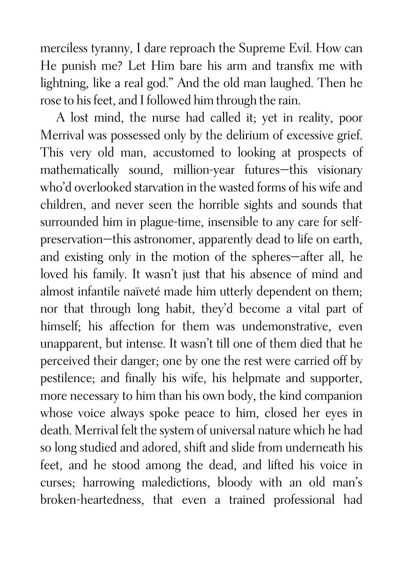merciless tyranny, I dare reproach the Supreme Evil. How can He punish me? Let Him bare his arm and transfix me with lightning, like a real god." And the old man laughed. Then he rose to his feet, and I followed him through the rain.

A lost mind, the nurse had called it; yet in reality, poor Merrival was possessed only by the delirium of excessive grief. This very old man, accustomed to looking at prospects of mathematically sound, million-year futures—this visionary who'd overlooked starvation in the wasted forms of his wife and children, and never seen the horrible sights and sounds that surrounded him in plague-time, insensible to any care for selfpreservation—this astronomer, apparently dead to life on earth, and existing only in the motion of the spheres—after all, he loved his family. It wasn't just that his absence of mind and almost infantile naïveté made him utterly dependent on them; nor that through long habit, they'd become a vital part of himself; his affection for them was undemonstrative, even unapparent, but intense. It wasn't till one of them died that he perceived their danger; one by one the rest were carried off by pestilence; and finally his wife, his helpmate and supporter, more necessary to him than his own body, the kind companion whose voice always spoke peace to him, closed her eyes in death. Merrival felt the system of universal nature which he had so long studied and adored, shift and slide from underneath his feet, and he stood among the dead, and lifted his voice in curses; harrowing maledictions, bloody with an old man's broken-heartedness, that even a trained professional had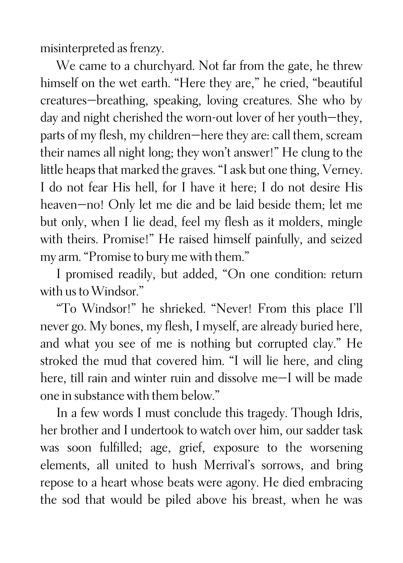misinterpreted as frenzy.

We came to a churchyard. Not far from the gate, he threw himself on the wet earth. "Here they are," he cried, "beautiful creatures—breathing, speaking, loving creatures. She who by day and night cherished the worn-out lover of her youth—they, parts of my flesh, my children—here they are: call them, scream their names all night long; they won't answer!" He clung to the little heaps that marked the graves. "I ask but one thing, Verney. I do not fear His hell, for I have it here; I do not desire His heaven—no! Only let me die and be laid beside them; let me but only, when I lie dead, feel my flesh as it molders, mingle with theirs. Promise!" He raised himself painfully, and seized my arm. "Promise to bury me with them."

I promised readily, but added, "On one condition: return with us to Windsor."

"To Windsor!" he shrieked. "Never! From this place I'll never go. My bones, my flesh, I myself, are already buried here, and what you see of me is nothing but corrupted clay." He stroked the mud that covered him. "I will lie here, and cling here, till rain and winter ruin and dissolve me-I will be made one in substance with them below."

In a few words I must conclude this tragedy. Though Idris, her brother and I undertook to watch over him, our sadder task was soon fulfilled; age, grief, exposure to the worsening elements, all united to hush Merrival's sorrows, and bring repose to a heart whose beats were agony. He died embracing the sod that would be piled above his breast, when he was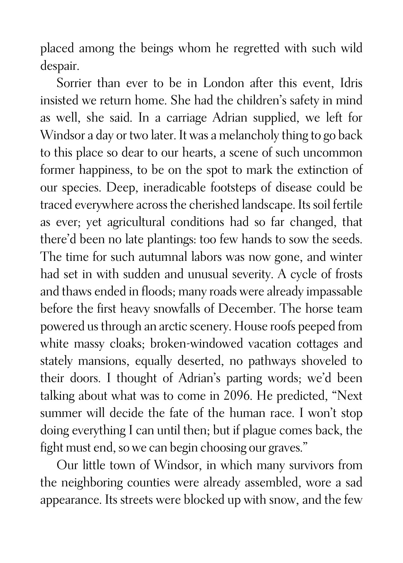placed among the beings whom he regretted with such wild despair.

Sorrier than ever to be in London after this event, Idris insisted we return home. She had the children's safety in mind as well, she said. In a carriage Adrian supplied, we left for Windsor a day or two later. It was a melancholy thing to go back to this place so dear to our hearts, a scene of such uncommon former happiness, to be on the spot to mark the extinction of our species. Deep, ineradicable footsteps of disease could be traced everywhere across the cherished landscape. Its soil fertile as ever; yet agricultural conditions had so far changed, that there'd been no late plantings: too few hands to sow the seeds. The time for such autumnal labors was now gone, and winter had set in with sudden and unusual severity. A cycle of frosts and thaws ended in floods; many roads were already impassable before the first heavy snowfalls of December. The horse team powered us through an arctic scenery. House roofs peeped from white massy cloaks; broken-windowed vacation cottages and stately mansions, equally deserted, no pathways shoveled to their doors. I thought of Adrian's parting words; we'd been talking about what was to come in 2096. He predicted, "Next summer will decide the fate of the human race. I won't stop doing everything I can until then; but if plague comes back, the fight must end, so we can begin choosing our graves."

Our little town of Windsor, in which many survivors from the neighboring counties were already assembled, wore a sad appearance. Its streets were blocked up with snow, and the few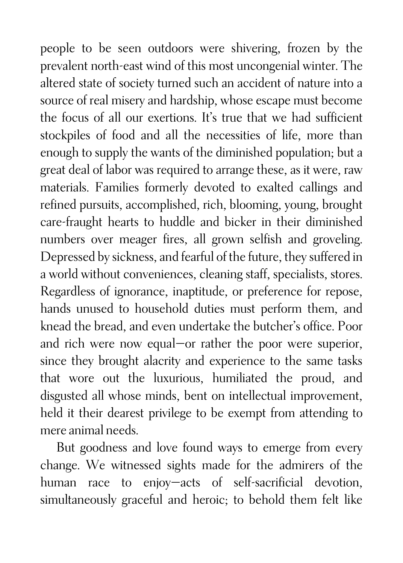people to be seen outdoors were shivering, frozen by the prevalent north-east wind of this most uncongenial winter. The altered state of society turned such an accident of nature into a source of real misery and hardship, whose escape must become the focus of all our exertions. It's true that we had sufficient stockpiles of food and all the necessities of life, more than enough to supply the wants of the diminished population; but a great deal of labor was required to arrange these, as it were, raw materials. Families formerly devoted to exalted callings and refined pursuits, accomplished, rich, blooming, young, brought care-fraught hearts to huddle and bicker in their diminished numbers over meager fires, all grown selfish and groveling. Depressed by sickness, and fearful of the future, they suffered in a world without conveniences, cleaning staff, specialists, stores. Regardless of ignorance, inaptitude, or preference for repose, hands unused to household duties must perform them, and knead the bread, and even undertake the butcher's office. Poor and rich were now equal—or rather the poor were superior, since they brought alacrity and experience to the same tasks that wore out the luxurious, humiliated the proud, and disgusted all whose minds, bent on intellectual improvement, held it their dearest privilege to be exempt from attending to mere animal needs.

But goodness and love found ways to emerge from every change. We witnessed sights made for the admirers of the human race to enjoy—acts of self-sacrificial devotion, simultaneously graceful and heroic; to behold them felt like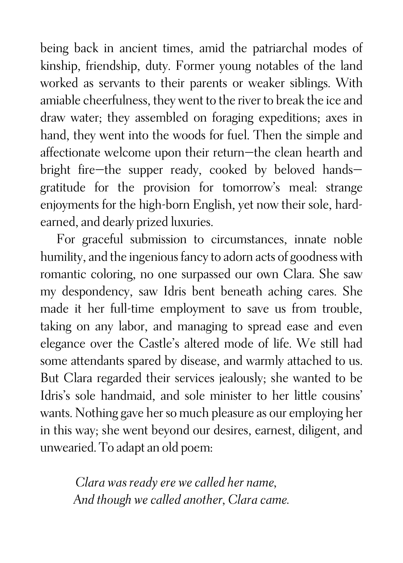being back in ancient times, amid the patriarchal modes of kinship, friendship, duty. Former young notables of the land worked as servants to their parents or weaker siblings. With amiable cheerfulness, they went to the river to break the ice and draw water; they assembled on foraging expeditions; axes in hand, they went into the woods for fuel. Then the simple and affectionate welcome upon their return—the clean hearth and bright fire—the supper ready, cooked by beloved hands gratitude for the provision for tomorrow's meal: strange enjoyments for the high-born English, yet now their sole, hardearned, and dearly prized luxuries.

For graceful submission to circumstances, innate noble humility, and the ingenious fancy to adorn acts of goodness with romantic coloring, no one surpassed our own Clara. She saw my despondency, saw Idris bent beneath aching cares. She made it her full-time employment to save us from trouble, taking on any labor, and managing to spread ease and even elegance over the Castle's altered mode of life. We still had some attendants spared by disease, and warmly attached to us. But Clara regarded their services jealously; she wanted to be Idris's sole handmaid, and sole minister to her little cousins' wants. Nothing gave her so much pleasure as our employing her in this way; she went beyond our desires, earnest, diligent, and unwearied. To adapt an old poem:

> *Clara was ready ere we called her name, And though we called another, Clara came.*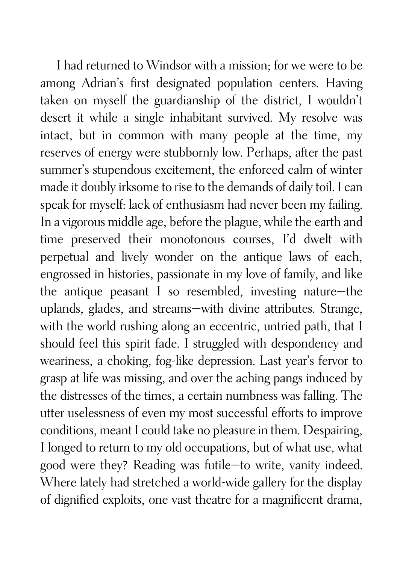I had returned to Windsor with a mission; for we were to be among Adrian's first designated population centers. Having taken on myself the guardianship of the district, I wouldn't desert it while a single inhabitant survived. My resolve was intact, but in common with many people at the time, my reserves of energy were stubbornly low. Perhaps, after the past summer's stupendous excitement, the enforced calm of winter made it doubly irksome to rise to the demands of daily toil. I can speak for myself: lack of enthusiasm had never been my failing. In a vigorous middle age, before the plague, while the earth and time preserved their monotonous courses, I'd dwelt with perpetual and lively wonder on the antique laws of each, engrossed in histories, passionate in my love of family, and like the antique peasant I so resembled, investing nature—the uplands, glades, and streams—with divine attributes. Strange, with the world rushing along an eccentric, untried path, that I should feel this spirit fade. I struggled with despondency and weariness, a choking, fog-like depression. Last year's fervor to grasp at life was missing, and over the aching pangs induced by the distresses of the times, a certain numbness was falling. The utter uselessness of even my most successful efforts to improve conditions, meant I could take no pleasure in them. Despairing, I longed to return to my old occupations, but of what use, what good were they? Reading was futile—to write, vanity indeed. Where lately had stretched a world-wide gallery for the display of dignified exploits, one vast theatre for a magnificent drama,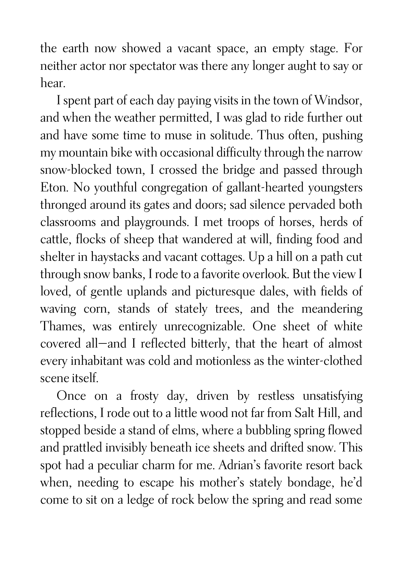the earth now showed a vacant space, an empty stage. For neither actor nor spectator was there any longer aught to say or hear.

I spent part of each day paying visits in the town of Windsor, and when the weather permitted, I was glad to ride further out and have some time to muse in solitude. Thus often, pushing my mountain bike with occasional difficulty through the narrow snow-blocked town, I crossed the bridge and passed through Eton. No youthful congregation of gallant-hearted youngsters thronged around its gates and doors; sad silence pervaded both classrooms and playgrounds. I met troops of horses, herds of cattle, flocks of sheep that wandered at will, finding food and shelter in haystacks and vacant cottages. Up a hill on a path cut through snow banks, I rode to a favorite overlook. But the view I loved, of gentle uplands and picturesque dales, with fields of waving corn, stands of stately trees, and the meandering Thames, was entirely unrecognizable. One sheet of white covered all—and I reflected bitterly, that the heart of almost every inhabitant was cold and motionless as the winter-clothed scene itself.

Once on a frosty day, driven by restless unsatisfying reflections, I rode out to a little wood not far from Salt Hill, and stopped beside a stand of elms, where a bubbling spring flowed and prattled invisibly beneath ice sheets and drifted snow. This spot had a peculiar charm for me. Adrian's favorite resort back when, needing to escape his mother's stately bondage, he'd come to sit on a ledge of rock below the spring and read some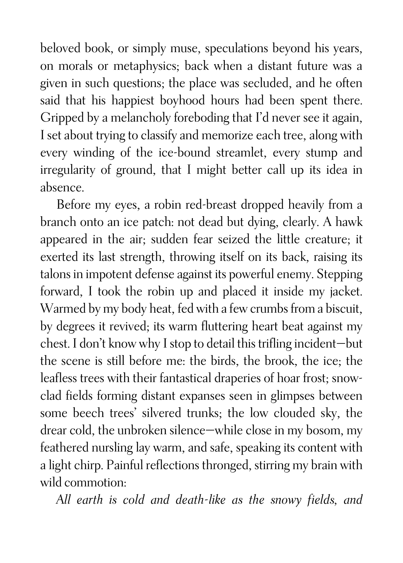beloved book, or simply muse, speculations beyond his years, on morals or metaphysics; back when a distant future was a given in such questions; the place was secluded, and he often said that his happiest boyhood hours had been spent there. Gripped by a melancholy foreboding that I'd never see it again, I set about trying to classify and memorize each tree, along with every winding of the ice-bound streamlet, every stump and irregularity of ground, that I might better call up its idea in absence.

Before my eyes, a robin red-breast dropped heavily from a branch onto an ice patch: not dead but dying, clearly. A hawk appeared in the air; sudden fear seized the little creature; it exerted its last strength, throwing itself on its back, raising its talons in impotent defense against its powerful enemy. Stepping forward, I took the robin up and placed it inside my jacket. Warmed by my body heat, fed with a few crumbs from a biscuit, by degrees it revived; its warm fluttering heart beat against my chest. I don't know why I stop to detail this trifling incident—but the scene is still before me: the birds, the brook, the ice; the leafless trees with their fantastical draperies of hoar frost; snowclad fields forming distant expanses seen in glimpses between some beech trees' silvered trunks; the low clouded sky, the drear cold, the unbroken silence—while close in my bosom, my feathered nursling lay warm, and safe, speaking its content with a light chirp. Painful reflections thronged, stirring my brain with wild commotion:

*All earth is cold and death-like as the snowy fields, and*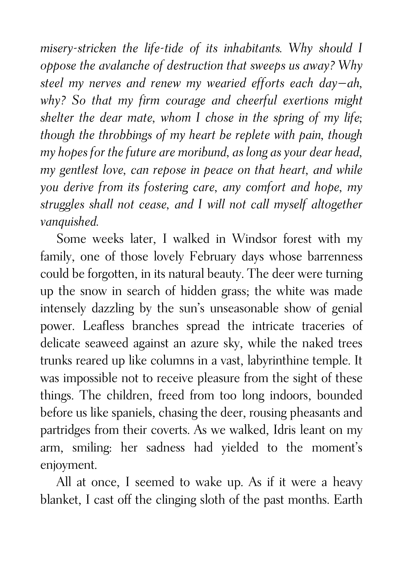*misery-stricken the life-tide of its inhabitants. Why should I oppose the avalanche of destruction that sweeps us away? Why steel my nerves and renew my wearied efforts each day—ah, why? So that my firm courage and cheerful exertions might shelter the dear mate, whom I chose in the spring of my life; though the throbbings of my heart be replete with pain, though my hopes for the future are moribund, as long as your dear head, my gentlest love, can repose in peace on that heart, and while you derive from its fostering care, any comfort and hope, my struggles shall not cease, and I will not call myself altogether vanquished.*

Some weeks later, I walked in Windsor forest with my family, one of those lovely February days whose barrenness could be forgotten, in its natural beauty. The deer were turning up the snow in search of hidden grass; the white was made intensely dazzling by the sun's unseasonable show of genial power. Leafless branches spread the intricate traceries of delicate seaweed against an azure sky, while the naked trees trunks reared up like columns in a vast, labyrinthine temple. It was impossible not to receive pleasure from the sight of these things. The children, freed from too long indoors, bounded before us like spaniels, chasing the deer, rousing pheasants and partridges from their coverts. As we walked, Idris leant on my arm, smiling: her sadness had yielded to the moment's enjoyment.

All at once, I seemed to wake up. As if it were a heavy blanket, I cast off the clinging sloth of the past months. Earth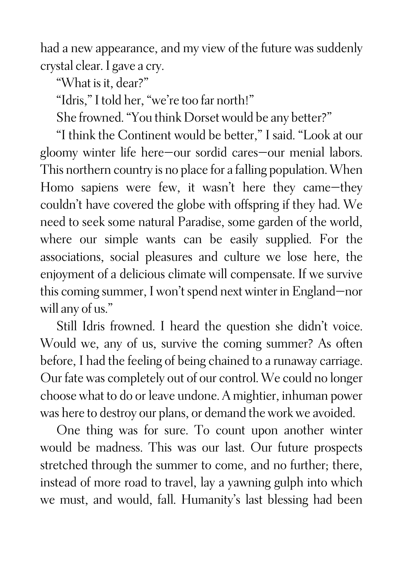had a new appearance, and my view of the future was suddenly crystal clear. I gave a cry.

"What is it, dear?"

"Idris," I told her, "we're too far north!"

She frowned. "You think Dorset would be any better?"

"I think the Continent would be better," I said. "Look at our gloomy winter life here—our sordid cares—our menial labors. This northern country is no place for a falling population. When Homo sapiens were few, it wasn't here they came—they couldn't have covered the globe with offspring if they had. We need to seek some natural Paradise, some garden of the world, where our simple wants can be easily supplied. For the associations, social pleasures and culture we lose here, the enjoyment of a delicious climate will compensate. If we survive this coming summer, I won't spend next winter in England—nor will any of us."

Still Idris frowned. I heard the question she didn't voice. Would we, any of us, survive the coming summer? As often before, I had the feeling of being chained to a runaway carriage. Our fate was completely out of our control. We could no longer choose what to do or leave undone. A mightier, inhuman power was here to destroy our plans, or demand the work we avoided.

One thing was for sure. To count upon another winter would be madness. This was our last. Our future prospects stretched through the summer to come, and no further; there, instead of more road to travel, lay a yawning gulph into which we must, and would, fall. Humanity's last blessing had been